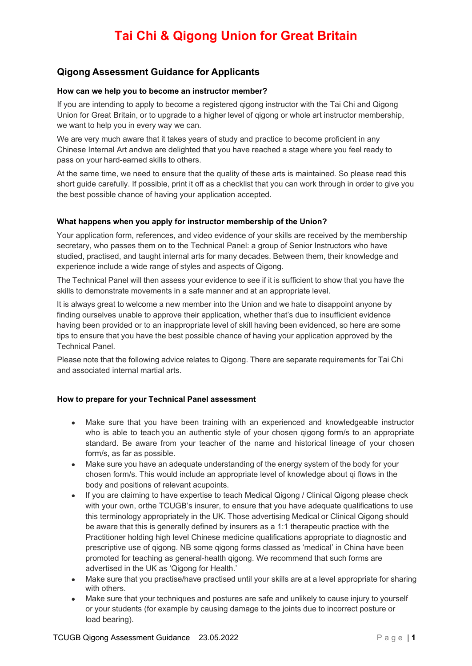### **Qigong Assessment Guidance for Applicants**

#### **How can we help you to become an instructor member?**

If you are intending to apply to become a registered qigong instructor with the Tai Chi and Qigong Union for Great Britain, or to upgrade to a higher level of qigong or whole art instructor membership, we want to help you in every way we can.

We are very much aware that it takes years of study and practice to become proficient in any Chinese Internal Art andwe are delighted that you have reached a stage where you feel ready to pass on your hard-earned skills to others.

At the same time, we need to ensure that the quality of these arts is maintained. So please read this short guide carefully. If possible, print it off as a checklist that you can work through in order to give you the best possible chance of having your application accepted.

#### **What happens when you apply for instructor membership of the Union?**

Your application form, references, and video evidence of your skills are received by the membership secretary, who passes them on to the Technical Panel: a group of Senior Instructors who have studied, practised, and taught internal arts for many decades. Between them, their knowledge and experience include a wide range of styles and aspects of Qigong.

The Technical Panel will then assess your evidence to see if it is sufficient to show that you have the skills to demonstrate movements in a safe manner and at an appropriate level.

It is always great to welcome a new member into the Union and we hate to disappoint anyone by finding ourselves unable to approve their application, whether that's due to insufficient evidence having been provided or to an inappropriate level of skill having been evidenced, so here are some tips to ensure that you have the best possible chance of having your application approved by the Technical Panel.

Please note that the following advice relates to Qigong. There are separate requirements for Tai Chi and associated internal martial arts.

#### **How to prepare for your Technical Panel assessment**

- Make sure that you have been training with an experienced and knowledgeable instructor who is able to teach you an authentic style of your chosen qigong form/s to an appropriate standard. Be aware from your teacher of the name and historical lineage of your chosen form/s, as far as possible.
- Make sure you have an adequate understanding of the energy system of the body for your chosen form/s. This would include an appropriate level of knowledge about qi flows in the body and positions of relevant acupoints.
- If you are claiming to have expertise to teach Medical Qigong / Clinical Qigong please check with your own, orthe TCUGB's insurer, to ensure that you have adequate qualifications to use this terminology appropriately in the UK. Those advertising Medical or Clinical Qigong should be aware that this is generally defined by insurers as a 1:1 therapeutic practice with the Practitioner holding high level Chinese medicine qualifications appropriate to diagnostic and prescriptive use of qigong. NB some qigong forms classed as 'medical' in China have been promoted for teaching as general-health qigong. We recommend that such forms are advertised in the UK as 'Qigong for Health.'
- Make sure that you practise/have practised until your skills are at a level appropriate for sharing with others.
- Make sure that your techniques and postures are safe and unlikely to cause injury to yourself or your students (for example by causing damage to the joints due to incorrect posture or load bearing).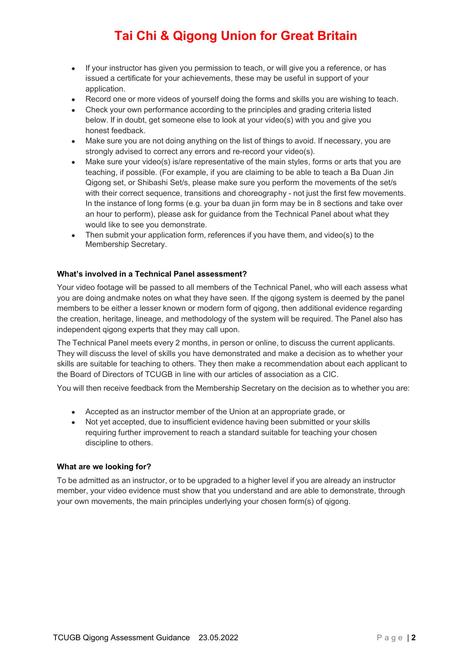- If your instructor has given you permission to teach, or will give you a reference, or has issued a certificate for your achievements, these may be useful in support of your application.
- Record one or more videos of yourself doing the forms and skills you are wishing to teach.
- Check your own performance according to the principles and grading criteria listed below. If in doubt, get someone else to look at your video(s) with you and give you honest feedback.
- Make sure you are not doing anything on the list of things to avoid. If necessary, you are strongly advised to correct any errors and re-record your video(s).
- Make sure your video(s) is/are representative of the main styles, forms or arts that you are teaching, if possible. (For example, if you are claiming to be able to teach a Ba Duan Jin Qigong set, or Shibashi Set/s, please make sure you perform the movements of the set/s with their correct sequence, transitions and choreography - not just the first few movements. In the instance of long forms (e.g. your ba duan jin form may be in 8 sections and take over an hour to perform), please ask for guidance from the Technical Panel about what they would like to see you demonstrate.
- Then submit your application form, references if you have them, and video(s) to the Membership Secretary.

#### **What's involved in a Technical Panel assessment?**

Your video footage will be passed to all members of the Technical Panel, who will each assess what you are doing andmake notes on what they have seen. If the qigong system is deemed by the panel members to be either a lesser known or modern form of qigong, then additional evidence regarding the creation, heritage, lineage, and methodology of the system will be required. The Panel also has independent qigong experts that they may call upon.

The Technical Panel meets every 2 months, in person or online, to discuss the current applicants. They will discuss the level of skills you have demonstrated and make a decision as to whether your skills are suitable for teaching to others. They then make a recommendation about each applicant to the Board of Directors of TCUGB in line with our articles of association as a CIC.

You will then receive feedback from the Membership Secretary on the decision as to whether you are:

- Accepted as an instructor member of the Union at an appropriate grade, or
- Not yet accepted, due to insufficient evidence having been submitted or your skills requiring further improvement to reach a standard suitable for teaching your chosen discipline to others.

#### **What are we looking for?**

To be admitted as an instructor, or to be upgraded to a higher level if you are already an instructor member, your video evidence must show that you understand and are able to demonstrate, through your own movements, the main principles underlying your chosen form(s) of qigong.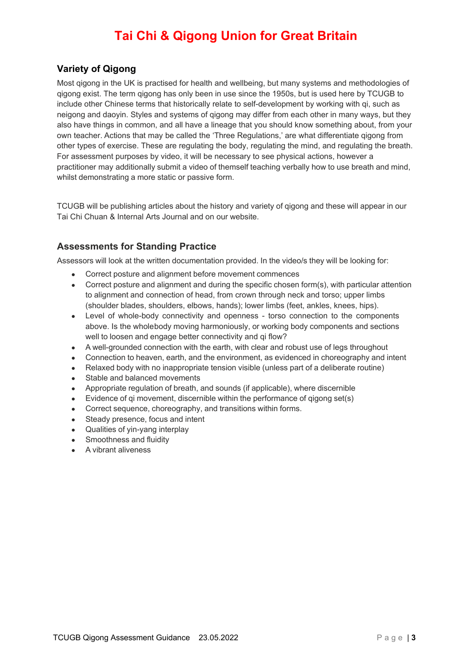### **Variety of Qigong**

Most qigong in the UK is practised for health and wellbeing, but many systems and methodologies of qigong exist. The term qigong has only been in use since the 1950s, but is used here by TCUGB to include other Chinese terms that historically relate to self-development by working with qi, such as neigong and daoyin. Styles and systems of qigong may differ from each other in many ways, but they also have things in common, and all have a lineage that you should know something about, from your own teacher. Actions that may be called the 'Three Regulations,' are what differentiate qigong from other types of exercise. These are regulating the body, regulating the mind, and regulating the breath. For assessment purposes by video, it will be necessary to see physical actions, however a practitioner may additionally submit a video of themself teaching verbally how to use breath and mind, whilst demonstrating a more static or passive form.

TCUGB will be publishing articles about the history and variety of qigong and these will appear in our Tai Chi Chuan & Internal Arts Journal and on our website.

### **Assessments for Standing Practice**

Assessors will look at the written documentation provided. In the video/s they will be looking for:

- Correct posture and alignment before movement commences
- Correct posture and alignment and during the specific chosen form(s), with particular attention to alignment and connection of head, from crown through neck and torso; upper limbs (shoulder blades, shoulders, elbows, hands); lower limbs (feet, ankles, knees, hips).
- Level of whole-body connectivity and openness torso connection to the components above. Is the wholebody moving harmoniously, or working body components and sections well to loosen and engage better connectivity and gi flow?
- A well-grounded connection with the earth, with clear and robust use of legs throughout
- Connection to heaven, earth, and the environment, as evidenced in choreography and intent
- Relaxed body with no inappropriate tension visible (unless part of a deliberate routine)
- Stable and balanced movements
- Appropriate regulation of breath, and sounds (if applicable), where discernible
- Evidence of qi movement, discernible within the performance of qigong set(s)
- Correct sequence, choreography, and transitions within forms.
- Steady presence, focus and intent
- Qualities of yin-yang interplay
- Smoothness and fluidity
- A vibrant aliveness